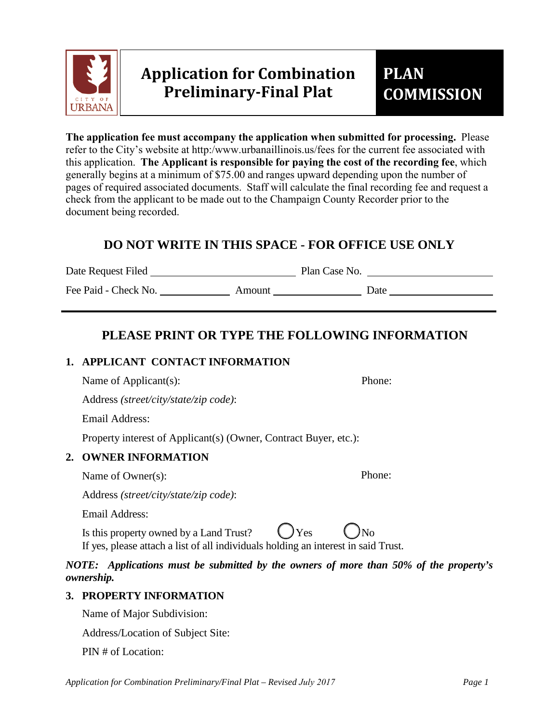

**The application fee must accompany the application when submitted for processing.** Please refer to the City's website at http:/www.urbanaillinois.us/fees for the current fee associated with this application. **The Applicant is responsible for paying the cost of the recording fee**, which generally begins at a minimum of \$75.00 and ranges upward depending upon the number of pages of required associated documents. Staff will calculate the final recording fee and request a check from the applicant to be made out to the Champaign County Recorder prior to the document being recorded.

# **DO NOT WRITE IN THIS SPACE - FOR OFFICE USE ONLY**

Date Request Filed Plan Case No.

Fee Paid - Check No. Amount Date

# **PLEASE PRINT OR TYPE THE FOLLOWING INFORMATION**

# **1. APPLICANT CONTACT INFORMATION**

Name of Applicant(s): Phone:

Address *(street/city/state/zip code)*:

Email Address:

Property interest of Applicant(s) (Owner, Contract Buyer, etc.):

# **2. OWNER INFORMATION**

Name of Owner(s): Phone:

Address *(street/city/state/zip code)*:

Email Address:

Is this property owned by a Land Trust?  $\bigcup$  Yes If yes, please attach a list of all individuals holding an interest in said Trust.

*NOTE: Applications must be submitted by the owners of more than 50% of the property's ownership.*

# **3. PROPERTY INFORMATION**

Name of Major Subdivision:

Address/Location of Subject Site:

PIN # of Location:

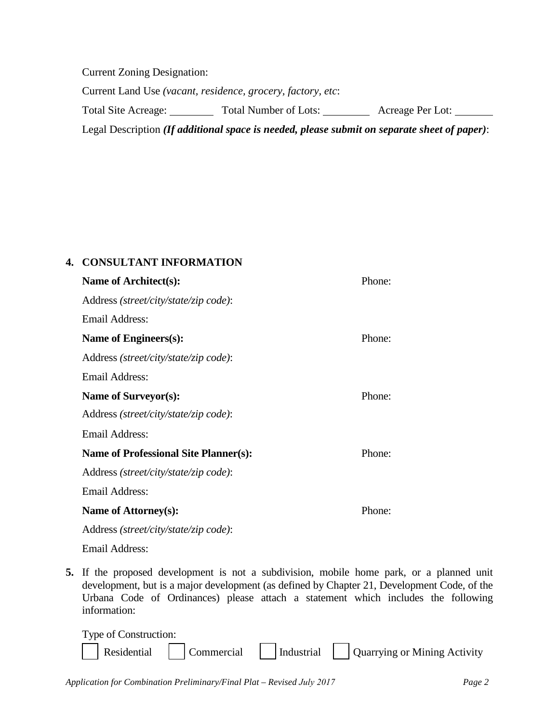Current Zoning Designation: Current Land Use *(vacant, residence, grocery, factory, etc*: Total Site Acreage: Total Number of Lots: Acreage Per Lot: Legal Description *(If additional space is needed, please submit on separate sheet of paper)*:

## **4. CONSULTANT INFORMATION**

| Name of Architect(s):                        | Phone: |
|----------------------------------------------|--------|
| Address (street/city/state/zip code):        |        |
| <b>Email Address:</b>                        |        |
| Name of Engineers(s):                        | Phone: |
| Address (street/city/state/zip code):        |        |
| <b>Email Address:</b>                        |        |
| Name of Surveyor(s):                         | Phone: |
| Address (street/city/state/zip code):        |        |
| Email Address:                               |        |
| <b>Name of Professional Site Planner(s):</b> | Phone: |
| Address (street/city/state/zip code):        |        |
| Email Address:                               |        |
| Name of Attorney(s):                         | Phone: |
| Address (street/city/state/zip code):        |        |
| Emerikalduren.                               |        |

- Email Address:
- **5.** If the proposed development is not a subdivision, mobile home park, or a planned unit development, but is a major development (as defined by Chapter 21, Development Code, of the Urbana Code of Ordinances) please attach a statement which includes the following information:

| Type of Construction: |  |                                                                |
|-----------------------|--|----------------------------------------------------------------|
|                       |  | Residential Commercial Industrial Quarrying or Mining Activity |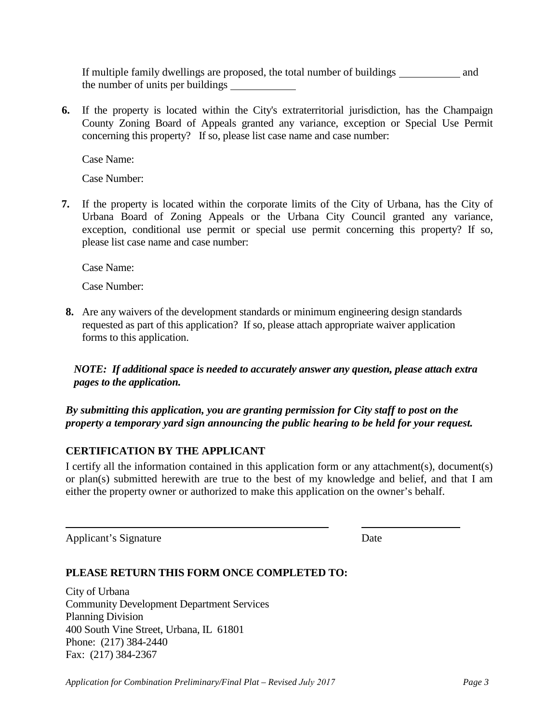If multiple family dwellings are proposed, the total number of buildings \_\_\_\_\_\_\_\_\_\_\_\_\_\_ and the number of units per buildings

**6.** If the property is located within the City's extraterritorial jurisdiction, has the Champaign County Zoning Board of Appeals granted any variance, exception or Special Use Permit concerning this property? If so, please list case name and case number:

Case Name:

Case Number:

**7.** If the property is located within the corporate limits of the City of Urbana, has the City of Urbana Board of Zoning Appeals or the Urbana City Council granted any variance, exception, conditional use permit or special use permit concerning this property? If so, please list case name and case number:

Case Name:

Case Number:

**8.** Are any waivers of the development standards or minimum engineering design standards requested as part of this application? If so, please attach appropriate waiver application forms to this application.

*NOTE: If additional space is needed to accurately answer any question, please attach extra pages to the application.*

*By submitting this application, you are granting permission for City staff to post on the property a temporary yard sign announcing the public hearing to be held for your request.* 

# **CERTIFICATION BY THE APPLICANT**

I certify all the information contained in this application form or any attachment(s), document(s) or plan(s) submitted herewith are true to the best of my knowledge and belief, and that I am either the property owner or authorized to make this application on the owner's behalf.

Applicant's Signature Date

### **PLEASE RETURN THIS FORM ONCE COMPLETED TO:**

City of Urbana Community Development Department Services Planning Division 400 South Vine Street, Urbana, IL 61801 Phone: (217) 384-2440 Fax: (217) 384-2367